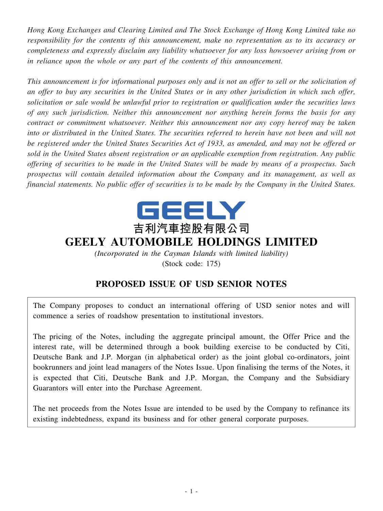*Hong Kong Exchanges and Clearing Limited and The Stock Exchange of Hong Kong Limited take no responsibility for the contents of this announcement, make no representation as to its accuracy or completeness and expressly disclaim any liability whatsoever for any loss howsoever arising from or in reliance upon the whole or any part of the contents of this announcement.*

This announcement is for informational purposes only and is not an offer to sell or the solicitation of an offer to buy any securities in the United States or in any other jurisdiction in which such offer, *solicitation or sale would be unlawful prior to registration or qualification under the securities laws of any such jurisdiction. Neither this announcement nor anything herein forms the basis for any contract or commitment whatsoever. Neither this announcement nor any copy hereof may be taken* into or distributed in the United States. The securities referred to herein have not been and will not be registered under the United States Securities Act of 1933, as amended, and may not be offered or *sold in the United States absent registration or an applicable exemption from registration. Any public* offering of securities to be made in the United States will be made by means of a prospectus. Such *prospectus will contain detailed information about the Company and its management, as well as* financial statements. No public offer of securities is to be made by the Company in the United States.



*(Incorporated in the Cayman Islands with limited liability)* (Stock code: 175)

# **PROPOSED ISSUE OF USD SENIOR NOTES**

The Company proposes to conduct an international offering of USD senior notes and will commence a series of roadshow presentation to institutional investors.

The pricing of the Notes, including the aggregate principal amount, the Offer Price and the interest rate, will be determined through a book building exercise to be conducted by Citi, Deutsche Bank and J.P. Morgan (in alphabetical order) as the joint global co-ordinators, joint bookrunners and joint lead managers of the Notes Issue. Upon finalising the terms of the Notes, it is expected that Citi, Deutsche Bank and J.P. Morgan, the Company and the Subsidiary Guarantors will enter into the Purchase Agreement.

The net proceeds from the Notes Issue are intended to be used by the Company to refinance its existing indebtedness, expand its business and for other general corporate purposes.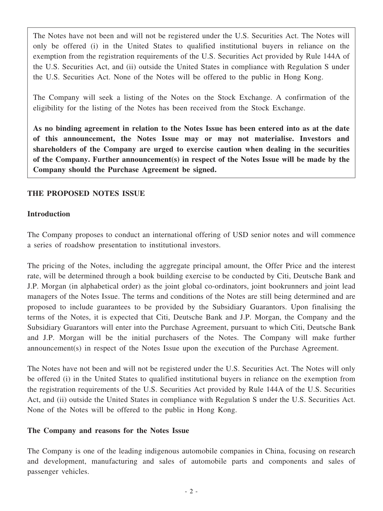The Notes have not been and will not be registered under the U.S. Securities Act. The Notes will only be offered (i) in the United States to qualified institutional buyers in reliance on the exemption from the registration requirements of the U.S. Securities Act provided by Rule 144A of the U.S. Securities Act, and (ii) outside the United States in compliance with Regulation S under the U.S. Securities Act. None of the Notes will be offered to the public in Hong Kong.

The Company will seek a listing of the Notes on the Stock Exchange. A confirmation of the eligibility for the listing of the Notes has been received from the Stock Exchange.

**As no binding agreement in relation to the Notes Issue has been entered into as at the date of this announcement, the Notes Issue may or may not materialise. Investors and shareholders of the Company are urged to exercise caution when dealing in the securities of the Company. Further announcement(s) in respect of the Notes Issue will be made by the Company should the Purchase Agreement be signed.**

## **THE PROPOSED NOTES ISSUE**

#### **Introduction**

The Company proposes to conduct an international offering of USD senior notes and will commence a series of roadshow presentation to institutional investors.

The pricing of the Notes, including the aggregate principal amount, the Offer Price and the interest rate, will be determined through a book building exercise to be conducted by Citi, Deutsche Bank and J.P. Morgan (in alphabetical order) as the joint global co-ordinators, joint bookrunners and joint lead managers of the Notes Issue. The terms and conditions of the Notes are still being determined and are proposed to include guarantees to be provided by the Subsidiary Guarantors. Upon finalising the terms of the Notes, it is expected that Citi, Deutsche Bank and J.P. Morgan, the Company and the Subsidiary Guarantors will enter into the Purchase Agreement, pursuant to which Citi, Deutsche Bank and J.P. Morgan will be the initial purchasers of the Notes. The Company will make further announcement(s) in respect of the Notes Issue upon the execution of the Purchase Agreement.

The Notes have not been and will not be registered under the U.S. Securities Act. The Notes will only be offered (i) in the United States to qualified institutional buyers in reliance on the exemption from the registration requirements of the U.S. Securities Act provided by Rule 144A of the U.S. Securities Act, and (ii) outside the United States in compliance with Regulation S under the U.S. Securities Act. None of the Notes will be offered to the public in Hong Kong.

#### **The Company and reasons for the Notes Issue**

The Company is one of the leading indigenous automobile companies in China, focusing on research and development, manufacturing and sales of automobile parts and components and sales of passenger vehicles.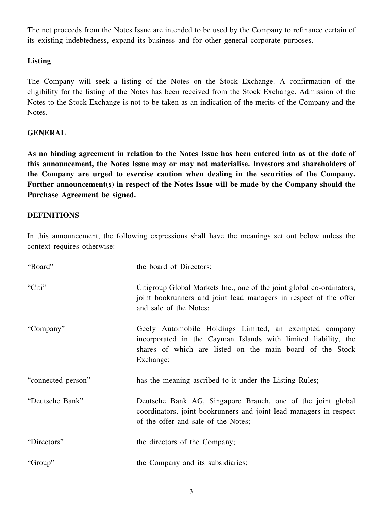The net proceeds from the Notes Issue are intended to be used by the Company to refinance certain of its existing indebtedness, expand its business and for other general corporate purposes.

## **Listing**

The Company will seek a listing of the Notes on the Stock Exchange. A confirmation of the eligibility for the listing of the Notes has been received from the Stock Exchange. Admission of the Notes to the Stock Exchange is not to be taken as an indication of the merits of the Company and the Notes.

## **GENERAL**

As no binding agreement in relation to the Notes Issue has been entered into as at the date of **this announcement, the Notes Issue may or may not materialise. Investors and shareholders of the Company are urged to exercise caution when dealing in the securities of the Company. Further announcement(s) in respect of the Notes Issue will be made by the Company should the Purchase Agreement be signed.**

#### **DEFINITIONS**

In this announcement, the following expressions shall have the meanings set out below unless the context requires otherwise:

| "Board"            | the board of Directors;                                                                                                                                                                            |
|--------------------|----------------------------------------------------------------------------------------------------------------------------------------------------------------------------------------------------|
| "Citi"             | Citigroup Global Markets Inc., one of the joint global co-ordinators,<br>joint bookrunners and joint lead managers in respect of the offer<br>and sale of the Notes;                               |
| "Company"          | Geely Automobile Holdings Limited, an exempted company<br>incorporated in the Cayman Islands with limited liability, the<br>shares of which are listed on the main board of the Stock<br>Exchange; |
| "connected person" | has the meaning ascribed to it under the Listing Rules;                                                                                                                                            |
| "Deutsche Bank"    | Deutsche Bank AG, Singapore Branch, one of the joint global<br>coordinators, joint bookrunners and joint lead managers in respect<br>of the offer and sale of the Notes;                           |
| "Directors"        | the directors of the Company;                                                                                                                                                                      |
| "Group"            | the Company and its subsidiaries;                                                                                                                                                                  |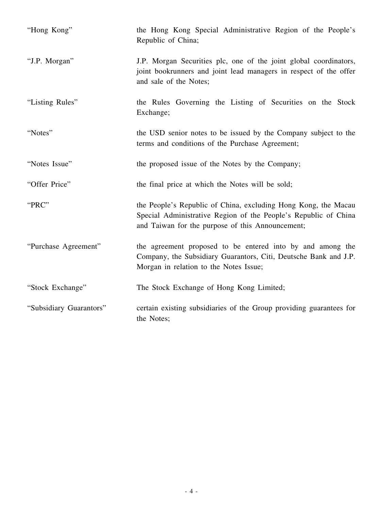| "Hong Kong"             | the Hong Kong Special Administrative Region of the People's<br>Republic of China;                                                                                                     |
|-------------------------|---------------------------------------------------------------------------------------------------------------------------------------------------------------------------------------|
| "J.P. Morgan"           | J.P. Morgan Securities plc, one of the joint global coordinators,<br>joint bookrunners and joint lead managers in respect of the offer<br>and sale of the Notes;                      |
| "Listing Rules"         | the Rules Governing the Listing of Securities on the Stock<br>Exchange;                                                                                                               |
| "Notes"                 | the USD senior notes to be issued by the Company subject to the<br>terms and conditions of the Purchase Agreement;                                                                    |
| "Notes Issue"           | the proposed issue of the Notes by the Company;                                                                                                                                       |
| "Offer Price"           | the final price at which the Notes will be sold;                                                                                                                                      |
| "PRC"                   | the People's Republic of China, excluding Hong Kong, the Macau<br>Special Administrative Region of the People's Republic of China<br>and Taiwan for the purpose of this Announcement; |
| "Purchase Agreement"    | the agreement proposed to be entered into by and among the<br>Company, the Subsidiary Guarantors, Citi, Deutsche Bank and J.P.<br>Morgan in relation to the Notes Issue;              |
| "Stock Exchange"        | The Stock Exchange of Hong Kong Limited;                                                                                                                                              |
| "Subsidiary Guarantors" | certain existing subsidiaries of the Group providing guarantees for<br>the Notes;                                                                                                     |